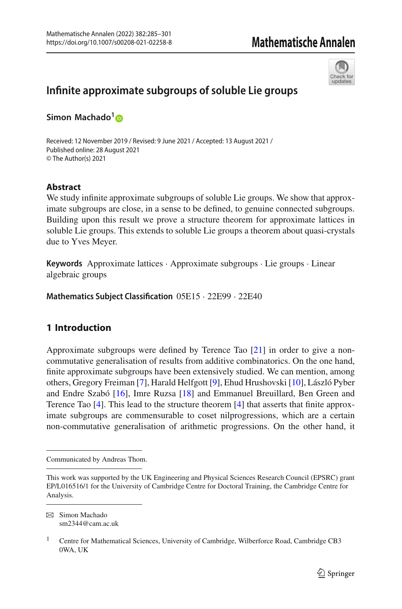

# **Infinite approximate subgroups of soluble Lie groups**

**Simon Machado[1](http://orcid.org/0000-0002-1787-6864)**

Received: 12 November 2019 / Revised: 9 June 2021 / Accepted: 13 August 2021 / Published online: 28 August 2021 © The Author(s) 2021

# **Abstract**

We study infinite approximate subgroups of soluble Lie groups. We show that approximate subgroups are close, in a sense to be defined, to genuine connected subgroups. Building upon this result we prove a structure theorem for approximate lattices in soluble Lie groups. This extends to soluble Lie groups a theorem about quasi-crystals due to Yves Meyer.

**Keywords** Approximate lattices · Approximate subgroups · Lie groups · Linear algebraic groups

**Mathematics Subject Classification** 05E15 · 22E99 · 22E40

# **1 Introduction**

Approximate subgroups were defined by Terence Tao [\[21](#page-16-0)] in order to give a noncommutative generalisation of results from additive combinatorics. On the one hand, finite approximate subgroups have been extensively studied. We can mention, among others, Gregory Freiman [\[7\]](#page-16-1), Harald Helfgott [\[9](#page-16-2)], Ehud Hrushovski [\[10\]](#page-16-3), László Pyber and Endre Szabó [\[16\]](#page-16-4), Imre Ruzsa [\[18](#page-16-5)] and Emmanuel Breuillard, Ben Green and Terence Tao [\[4](#page-16-6)]. This lead to the structure theorem [\[4](#page-16-6)] that asserts that finite approximate subgroups are commensurable to coset nilprogressions, which are a certain non-commutative generalisation of arithmetic progressions. On the other hand, it

Communicated by Andreas Thom.

This work was supported by the UK Engineering and Physical Sciences Research Council (EPSRC) grant EP/L016516/1 for the University of Cambridge Centre for Doctoral Training, the Cambridge Centre for Analysis.

B Simon Machado sm2344@cam.ac.uk

<sup>&</sup>lt;sup>1</sup> Centre for Mathematical Sciences, University of Cambridge, Wilberforce Road, Cambridge CB3 0WA, UK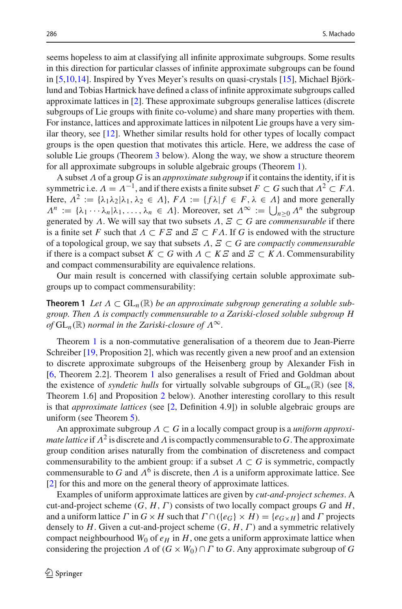seems hopeless to aim at classifying all infinite approximate subgroups. Some results in this direction for particular classes of infinite approximate subgroups can be found in [\[5](#page-16-7)[,10](#page-16-3)[,14](#page-16-8)]. Inspired by Yves Meyer's results on quasi-crystals [\[15\]](#page-16-9), Michael Björklund and Tobias Hartnick have defined a class of infinite approximate subgroups called approximate lattices in [\[2](#page-15-0)]. These approximate subgroups generalise lattices (discrete subgroups of Lie groups with finite co-volume) and share many properties with them. For instance, lattices and approximate lattices in nilpotent Lie groups have a very similar theory, see [\[12\]](#page-16-10). Whether similar results hold for other types of locally compact groups is the open question that motivates this article. Here, we address the case of soluble Lie groups (Theorem [3](#page-2-0) below). Along the way, we show a structure theorem for all approximate subgroups in soluble algebraic groups (Theorem [1\)](#page-1-0).

A subset Λ of a group *G* is an *approximate subgroup* if it contains the identity, if it is symmetric i.e.  $\Lambda = \Lambda^{-1}$ , and if there exists a finite subset  $F \subset G$  such that  $\Lambda^2 \subset F\Lambda$ . Here,  $\Lambda^2 := {\lambda_1 \lambda_2 | \lambda_1, \lambda_2 \in \Lambda}, F\Lambda := {\{ f \lambda | f \in F, \lambda \in \Lambda \}}$  and more generally  $\Lambda^n := \{\lambda_1 \cdots \lambda_n | \lambda_1, \ldots, \lambda_n \in \Lambda\}$ . Moreover, set  $\Lambda^\infty := \bigcup_{n \geq 0} \Lambda^n$  the subgroup generated by Λ. We will say that two subsets  $\Lambda$ ,  $\Xi \subset G$  are *commensurable* if there is a finite set *F* such that  $\Lambda \subset F\mathcal{Z}$  and  $\mathcal{Z} \subset F\Lambda$ . If *G* is endowed with the structure of a topological group, we say that subsets Λ, Ξ ⊂ *G* are *compactly commensurable* if there is a compact subset  $K \subset G$  with  $\Lambda \subset K \subset G$  and  $\subset \subset K \Lambda$ . Commensurability and compact commensurability are equivalence relations.

<span id="page-1-0"></span>Our main result is concerned with classifying certain soluble approximate subgroups up to compact commensurability:

**Theorem 1** Let  $\Lambda \subset GL_n(\mathbb{R})$  be an approximate subgroup generating a soluble sub*group. Then* Λ *is compactly commensurable to a Zariski-closed soluble subgroup H of*  $GL_n(\mathbb{R})$  *normal in the Zariski-closure of*  $\Lambda^\infty$ .

Theorem [1](#page-1-0) is a non-commutative generalisation of a theorem due to Jean-Pierre Schreiber [\[19](#page-16-11), Proposition 2], which was recently given a new proof and an extension to discrete approximate subgroups of the Heisenberg group by Alexander Fish in [\[6](#page-16-12), Theorem 2.2]. Theorem [1](#page-1-0) also generalises a result of Fried and Goldman about the existence of *syndetic hulls* for virtually solvable subgroups of  $GL_n(\mathbb{R})$  (see [\[8,](#page-16-13) Theorem 1.6] and Proposition [2](#page-8-0) below). Another interesting corollary to this result is that *approximate lattices* (see [\[2](#page-15-0), Definition 4.9]) in soluble algebraic groups are uniform (see Theorem [5\)](#page-9-0).

An approximate subgroup Λ ⊂ *G* in a locally compact group is a *uniform approximate lattice* if  $\Lambda^2$  is discrete and  $\Lambda$  is compactly commensurable to *G*. The approximate group condition arises naturally from the combination of discreteness and compact commensurability to the ambient group: if a subset  $\Lambda \subset G$  is symmetric, compactly commensurable to *G* and  $\Lambda^6$  is discrete, then  $\Lambda$  is a uniform approximate lattice. See [\[2](#page-15-0)] for this and more on the general theory of approximate lattices.

Examples of uniform approximate lattices are given by *cut-and-project schemes*. A cut-and-project scheme  $(G, H, \Gamma)$  consists of two locally compact groups  $G$  and  $H$ , and a uniform lattice  $\Gamma$  in  $G \times H$  such that  $\Gamma \cap (\{e_G\} \times H) = \{e_{G \times H}\}\$ and  $\Gamma$  projects densely to *H*. Given a cut-and-project scheme (*G*, *H*,Γ) and a symmetric relatively compact neighbourhood  $W_0$  of  $e_H$  in  $H$ , one gets a uniform approximate lattice when considering the projection  $\Lambda$  of  $(G \times W_0) \cap \Gamma$  to *G*. Any approximate subgroup of *G*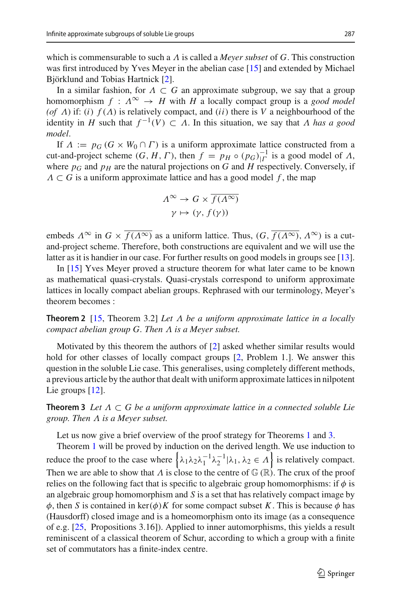which is commensurable to such a Λ is called a *Meyer subset* of *G*. This construction was first introduced by Yves Meyer in the abelian case [\[15\]](#page-16-9) and extended by Michael Björklund and Tobias Hartnick [\[2\]](#page-15-0).

In a similar fashion, for  $\Lambda \subset G$  an approximate subgroup, we say that a group homomorphism  $f : \Lambda^{\infty} \to H$  with *H* a locally compact group is a *good model* (*of*  $\Lambda$ ) if: (*i*)  $f(\Lambda)$  is relatively compact, and (*ii*) there is  $V$  a neighbourhood of the identity in *H* such that  $f^{-1}(V) \subset \Lambda$ . In this situation, we say that  $\Lambda$  has a good *model*.

If  $\Lambda := p_G$  ( $G \times W_0 \cap \Gamma$ ) is a uniform approximate lattice constructed from a cut-and-project scheme  $(G, H, \Gamma)$ , then  $f = p_H \circ (p_G)_{| \Gamma}^{-1}$  is a good model of  $\Lambda$ , where  $p_G$  and  $p_H$  are the natural projections on *G* and *H* respectively. Conversely, if  $\Lambda \subset G$  is a uniform approximate lattice and has a good model f, the map

$$
\begin{aligned} \Lambda^{\infty} &\rightarrow G \times \overline{f(\Lambda^{\infty})} \\ \gamma &\mapsto (\gamma, f(\gamma)) \end{aligned}
$$

embeds  $\Lambda^{\infty}$  in  $G \times f(\Lambda^{\infty})$  as a uniform lattice. Thus,  $(G, \overline{f(\Lambda^{\infty})}, \Lambda^{\infty})$  is a cutand-project scheme. Therefore, both constructions are equivalent and we will use the latter as it is handier in our case. For further results on good models in groups see [\[13](#page-16-14)].

In [\[15\]](#page-16-9) Yves Meyer proved a structure theorem for what later came to be known as mathematical quasi-crystals. Quasi-crystals correspond to uniform approximate lattices in locally compact abelian groups. Rephrased with our terminology, Meyer's theorem becomes :

**Theorem 2** [\[15,](#page-16-9) Theorem 3.2] *Let* Λ *be a uniform approximate lattice in a locally compact abelian group G. Then* Λ *is a Meyer subset.*

Motivated by this theorem the authors of [\[2](#page-15-0)] asked whether similar results would hold for other classes of locally compact groups [\[2](#page-15-0), Problem 1.]. We answer this question in the soluble Lie case. This generalises, using completely different methods, a previous article by the author that dealt with uniform approximate lattices in nilpotent Lie groups [\[12](#page-16-10)].

<span id="page-2-0"></span>**Theorem 3** *Let* Λ ⊂ *G be a uniform approximate lattice in a connected soluble Lie group. Then* Λ *is a Meyer subset.*

Let us now give a brief overview of the proof strategy for Theorems [1](#page-1-0) and [3.](#page-2-0)

Theorem [1](#page-1-0) will be proved by induction on the derived length. We use induction to reduce the proof to the case where  $\{\lambda_1\lambda_2\lambda_1^{-1}\lambda_2^{-1}|\lambda_1, \lambda_2 \in \Lambda\}$  is relatively compact. Then we are able to show that  $\Lambda$  is close to the centre of  $\mathbb{G}(\mathbb{R})$ . The crux of the proof relies on the following fact that is specific to algebraic group homomorphisms: if  $\phi$  is an algebraic group homomorphism and *S* is a set that has relatively compact image by  $\phi$ , then *S* is contained in ker( $\phi$ )*K* for some compact subset *K*. This is because  $\phi$  has (Hausdorff) closed image and is a homeomorphism onto its image (as a consequence of e.g. [\[25,](#page-16-15) Propositions 3.16]). Applied to inner automorphisms, this yields a result reminiscent of a classical theorem of Schur, according to which a group with a finite set of commutators has a finite-index centre.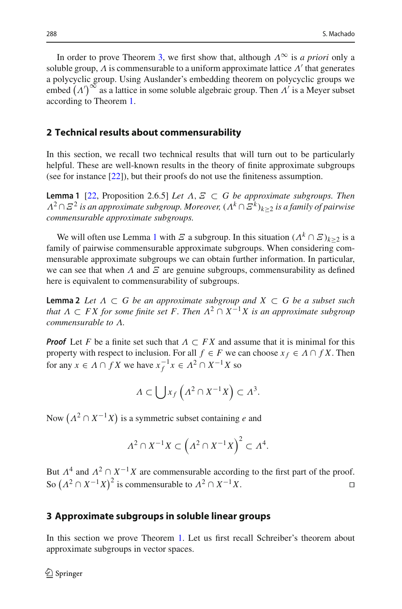In order to prove Theorem [3,](#page-2-0) we first show that, although  $\Lambda^{\infty}$  is *a priori* only a soluble group,  $\Lambda$  is commensurable to a uniform approximate lattice  $\Lambda'$  that generates a polycyclic group. Using Auslander's embedding theorem on polycyclic groups we embed  $(\Lambda')^{\infty}$  as a lattice in some soluble algebraic group. Then  $\Lambda'$  is a Meyer subset according to Theorem [1.](#page-1-0)

#### **2 Technical results about commensurability**

In this section, we recall two technical results that will turn out to be particularly helpful. These are well-known results in the theory of finite approximate subgroups (see for instance [\[22\]](#page-16-16)), but their proofs do not use the finiteness assumption.

<span id="page-3-0"></span>**Lemma 1** [\[22,](#page-16-16) Proposition 2.6.5] *Let* Λ, Ξ ⊂ *G be approximate subgroups. Then* <sup>Λ</sup><sup>2</sup> <sup>∩</sup>Ξ<sup>2</sup> *is an approximate subgroup. Moreover,* (Λ*<sup>k</sup>* <sup>∩</sup>Ξ*<sup>k</sup>* )*k*≥<sup>2</sup> *is a family of pairwise commensurable approximate subgroups.*

We will often use Lemma [1](#page-3-0) with  $E$  a subgroup. In this situation  $(A<sup>k</sup> \cap E)_{k>2}$  is a family of pairwise commensurable approximate subgroups. When considering commensurable approximate subgroups we can obtain further information. In particular, we can see that when  $\Lambda$  and  $\Xi$  are genuine subgroups, commensurability as defined here is equivalent to commensurability of subgroups.

<span id="page-3-2"></span>**Lemma 2** Let  $\Lambda \subset G$  be an approximate subgroup and  $X \subset G$  be a subset such *that*  $\Lambda \subset FX$  *for some finite set* F. Then  $\Lambda^2 \cap X^{-1}X$  *is an approximate subgroup commensurable to* Λ*.*

*Proof* Let *F* be a finite set such that  $\Lambda \subset FX$  and assume that it is minimal for this property with respect to inclusion. For all  $f \in F$  we can choose  $x_f \in \Lambda \cap fX$ . Then for any  $x \in A \cap fX$  we have  $x_f^{-1}x \in A^2 \cap X^{-1}X$  so

$$
\Lambda \subset \bigcup x_f\left(\Lambda^2 \cap X^{-1}X\right) \subset \Lambda^3.
$$

Now  $(A^2 \cap X^{-1}X)$  is a symmetric subset containing *e* and

$$
\Lambda^2 \cap X^{-1}X \subset \left(\Lambda^2 \cap X^{-1}X\right)^2 \subset \Lambda^4.
$$

But  $\Lambda^4$  and  $\Lambda^2 \cap X^{-1}X$  are commensurable according to the first part of the proof. So  $(A^2 \cap X^{-1}X)^2$  is commensurable to  $A^2 \cap X^{-1}X$ .

## **3 Approximate subgroups in soluble linear groups**

<span id="page-3-1"></span>In this section we prove Theorem [1.](#page-1-0) Let us first recall Schreiber's theorem about approximate subgroups in vector spaces.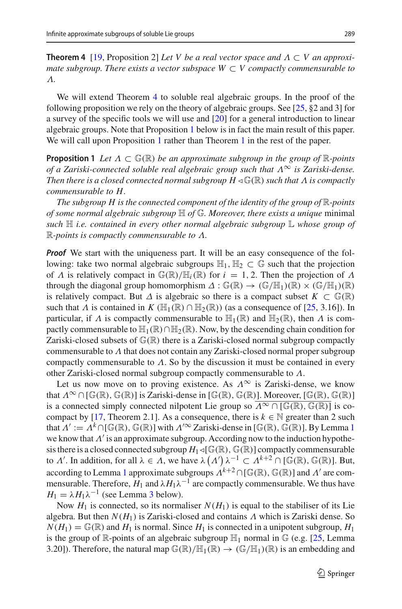**Theorem 4** [\[19,](#page-16-11) Proposition 2] *Let V be a real vector space and* Λ ⊂ *V an approximate subgroup. There exists a vector subspace*  $W \subset V$  *compactly commensurable to* Λ*.*

We will extend Theorem [4](#page-3-1) to soluble real algebraic groups. In the proof of the following proposition we rely on the theory of algebraic groups. See [\[25](#page-16-15),  $\S$ 2 and 3] for a survey of the specific tools we will use and [\[20](#page-16-17)] for a general introduction to linear algebraic groups. Note that Proposition [1](#page-4-0) below is in fact the main result of this paper. We will call upon Proposition [1](#page-1-0) rather than Theorem 1 in the rest of the paper.

<span id="page-4-0"></span>**Proposition 1** *Let*  $\Lambda \subset \mathbb{G}(\mathbb{R})$  *be an approximate subgroup in the group of*  $\mathbb{R}$ *-points of a Zariski-connected soluble real algebraic group such that*  $\Lambda^{\infty}$  *is Zariski-dense. Then there is a closed connected normal subgroup*  $H \triangleleft \mathbb{G}(\mathbb{R})$  *such that*  $\Lambda$  *is compactly commensurable to H.*

*The subgroup H is the connected component of the identity of the group of* R*-points of some normal algebraic subgroup* H *of* G*. Moreover, there exists a unique* minimal *such* H *i.e. contained in every other normal algebraic subgroup* L *whose group of* R*-points is compactly commensurable to* Λ*.*

*Proof* We start with the uniqueness part. It will be an easy consequence of the following: take two normal algebraic subgroups  $\mathbb{H}_1$ ,  $\mathbb{H}_2 \subset \mathbb{G}$  such that the projection of  $\Lambda$  is relatively compact in  $\mathbb{G}(\mathbb{R})/\mathbb{H}_i(\mathbb{R})$  for  $i = 1, 2$ . Then the projection of  $\Lambda$ through the diagonal group homomorphism  $\Delta : \mathbb{G}(\mathbb{R}) \to (\mathbb{G}/\mathbb{H}_1)(\mathbb{R}) \times (\mathbb{G}/\mathbb{H}_1)(\mathbb{R})$ is relatively compact. But  $\Delta$  is algebraic so there is a compact subset  $K \subset \mathbb{G}(\mathbb{R})$ such that  $\Lambda$  is contained in  $K$  ( $\mathbb{H}_1(\mathbb{R}) \cap \mathbb{H}_2(\mathbb{R})$ ) (as a consequence of [\[25](#page-16-15), 3.16]). In particular, if  $\Lambda$  is compactly commensurable to  $\mathbb{H}_1(\mathbb{R})$  and  $\mathbb{H}_2(\mathbb{R})$ , then  $\Lambda$  is compactly commensurable to  $\mathbb{H}_1(\mathbb{R}) \cap \mathbb{H}_2(\mathbb{R})$ . Now, by the descending chain condition for Zariski-closed subsets of  $\mathbb{G}(\mathbb{R})$  there is a Zariski-closed normal subgroup compactly commensurable to  $\Lambda$  that does not contain any Zariski-closed normal proper subgroup compactly commensurable to  $\Lambda$ . So by the discussion it must be contained in every other Zariski-closed normal subgroup compactly commensurable to Λ.

Let us now move on to proving existence. As  $\Lambda^{\infty}$  is Zariski-dense, we know that  $\Lambda^{\infty} \cap [\mathbb{G}(\mathbb{R}), \mathbb{G}(\mathbb{R})]$  is Zariski-dense in [ $\mathbb{G}(\mathbb{R}), \mathbb{G}(\mathbb{R})$ ]. Moreover, [ $\mathbb{G}(\mathbb{R}), \mathbb{G}(\mathbb{R})$ ] is a connected simply connected nilpotent Lie group so  $\Lambda^{\infty} \cap [\mathbb{G}(\mathbb{R}), \mathbb{G}(\mathbb{R})]$  is co-compact by [\[17,](#page-16-18) Theorem 2.1]. As a consequence, there is  $k \in \mathbb{N}$  greater than 2 such that  $\Lambda' := \Lambda^k \cap [\mathbb{G}(\mathbb{R}), \mathbb{G}(\mathbb{R})]$  with  $\Lambda'^\infty$  Zariski-dense in [ $\mathbb{G}(\mathbb{R})$ ,  $\mathbb{G}(\mathbb{R})$ ]. By Lemma [1](#page-3-0) we know that  $\Lambda'$  is an approximate subgroup. According now to the induction hypothesis there is a closed connected subgroup  $H_1 \triangleleft [\mathbb{G}(\mathbb{R}), \mathbb{G}(\mathbb{R})]$  compactly commensurable to  $\Lambda'$ . In addition, for all  $\lambda \in \Lambda$ , we have  $\lambda(\Lambda')\lambda^{-1} \subset \Lambda^{k+2} \cap [\mathbb{G}(\mathbb{R}), \mathbb{G}(\mathbb{R})]$ . But, according to Lemma [1](#page-3-0) approximate subgroups  $\Lambda^{k+2} \cap [\mathbb{G}(\mathbb{R}), \mathbb{G}(\mathbb{R})]$  and  $\Lambda'$  are commensurable. Therefore,  $H_1$  and  $\lambda H_1 \lambda^{-1}$  are compactly commensurable. We thus have  $H_1 = \lambda H_1 \lambda^{-1}$  (see Lemma [3](#page-7-0) below).

Now  $H_1$  is connected, so its normaliser  $N(H_1)$  is equal to the stabiliser of its Lie algebra. But then  $N(H_1)$  is Zariski-closed and contains  $\Lambda$  which is Zariski dense. So  $N(H_1) = \mathbb{G}(\mathbb{R})$  and  $H_1$  is normal. Since  $H_1$  is connected in a unipotent subgroup,  $H_1$ is the group of  $\mathbb{R}$ -points of an algebraic subgroup  $\mathbb{H}_1$  normal in  $\mathbb{G}$  (e.g. [\[25](#page-16-15), Lemma 3.20]). Therefore, the natural map  $\mathbb{G}(\mathbb{R})/\mathbb{H}_1(\mathbb{R}) \to (\mathbb{G}/\mathbb{H}_1)(\mathbb{R})$  is an embedding and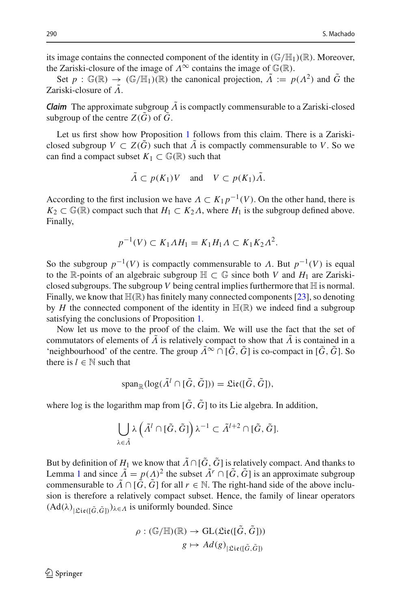its image contains the connected component of the identity in  $(\mathbb{G}/\mathbb{H}_1)(\mathbb{R})$ . Moreover, the Zariski-closure of the image of  $\Lambda^{\infty}$  contains the image of  $\mathbb{G}(\mathbb{R})$ .

Set  $p : \mathbb{G}(\mathbb{R}) \to (\mathbb{G}/\mathbb{H}_1)(\mathbb{R})$  the canonical projection,  $\tilde{\Lambda} := p(\Lambda^2)$  and  $\tilde{G}$  the Zariski-closure of  $\tilde{\Lambda}$ .

*Claim* The approximate subgroup  $\Lambda$  is compactly commensurable to a Zariski-closed subgroup of the centre  $Z(\tilde{G})$  of  $\tilde{G}$ .

Let us first show how Proposition [1](#page-4-0) follows from this claim. There is a Zariskiclosed subgroup  $V \subset Z(\tilde{G})$  such that  $\tilde{A}$  is compactly commensurable to V. So we can find a compact subset  $K_1 \subset \mathbb{G}(\mathbb{R})$  such that

$$
\tilde{A} \subset p(K_1)V \quad \text{and} \quad V \subset p(K_1)\tilde{A}.
$$

According to the first inclusion we have  $\Lambda \subset K_1 p^{-1}(V)$ . On the other hand, there is  $K_2 \subset \mathbb{G}(\mathbb{R})$  compact such that  $H_1 \subset K_2 \Lambda$ , where  $H_1$  is the subgroup defined above. Finally,

$$
p^{-1}(V) \subset K_1 \Lambda H_1 = K_1 H_1 \Lambda \subset K_1 K_2 \Lambda^2.
$$

So the subgroup  $p^{-1}(V)$  is compactly commensurable to  $\Lambda$ . But  $p^{-1}(V)$  is equal to the R-points of an algebraic subgroup  $\mathbb{H} \subset \mathbb{G}$  since both *V* and  $H_1$  are Zariskiclosed subgroups. The subgroup  $V$  being central implies furthermore that  $H$  is normal. Finally, we know that  $\mathbb{H}(\mathbb{R})$  has finitely many connected components [\[23\]](#page-16-19), so denoting by  $H$  the connected component of the identity in  $\mathbb{H}(\mathbb{R})$  we indeed find a subgroup satisfying the conclusions of Proposition [1.](#page-4-0)

Now let us move to the proof of the claim. We will use the fact that the set of commutators of elements of  $\tilde{\Lambda}$  is relatively compact to show that  $\tilde{\Lambda}$  is contained in a 'neighbourhood' of the centre. The group  $\tilde{\Lambda}^{\infty} \cap [\tilde{G}, \tilde{G}]$  is co-compact in  $[\tilde{G}, \tilde{G}]$ . So there is  $l \in \mathbb{N}$  such that

$$
\operatorname{span}_{\mathbb{R}}(\log(\tilde{\Lambda}^l \cap [\tilde{G}, \tilde{G}])) = \mathfrak{Lie}([\tilde{G}, \tilde{G}]),
$$

where log is the logarithm map from  $[\tilde{G}, \tilde{G}]$  to its Lie algebra. In addition,

$$
\bigcup_{\lambda \in \tilde{\Lambda}} \lambda \left( \tilde{\Lambda}^l \cap [\tilde{G}, \tilde{G}] \right) \lambda^{-1} \subset \tilde{\Lambda}^{l+2} \cap [\tilde{G}, \tilde{G}].
$$

But by definition of  $H_1$  we know that  $\tilde{\Lambda} \cap [\tilde{G}, \tilde{G}]$  is relatively compact. And thanks to Lemma [1](#page-3-0) and since  $\tilde{\Lambda} = p(\Lambda)^2$  the subset  $\tilde{\Lambda}^r \cap [\tilde{G}, \tilde{G}]$  is an approximate subgroup commensurable to  $\tilde{\Lambda} \cap [\tilde{G}, \tilde{G}]$  for all  $r \in \mathbb{N}$ . The right-hand side of the above inclusion is therefore a relatively compact subset. Hence, the family of linear operators  $(Ad(\lambda)|g_{i\mathfrak{e}([{\tilde{G}},{\tilde{G}}])})_{\lambda \in \Lambda}$  is uniformly bounded. Since

$$
\rho : (\mathbb{G}/\mathbb{H})(\mathbb{R}) \to \text{GL}(\mathfrak{Lie}([\tilde{G}, \tilde{G}]))
$$

$$
g \mapsto Ad(g)_{|\mathfrak{Lie}([\tilde{G}, \tilde{G}])}
$$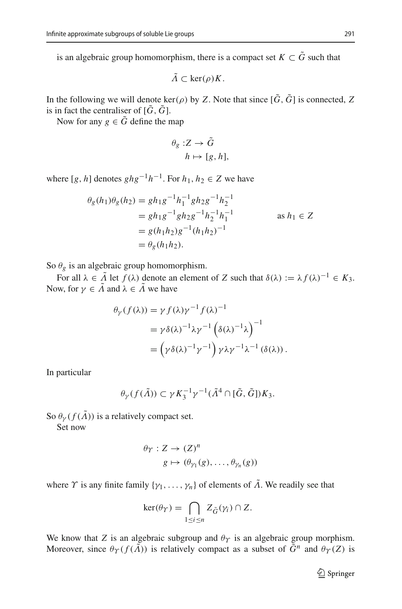is an algebraic group homomorphism, there is a compact set  $K \subset \tilde{G}$  such that

$$
\tilde{\Lambda} \subset \ker(\rho)K.
$$

In the following we will denote ker( $\rho$ ) by *Z*. Note that since  $[\tilde{G}, \tilde{G}]$  is connected, *Z* is in fact the centraliser of  $[\tilde{G}, \tilde{G}]$ .

Now for any  $g \in \tilde{G}$  define the map

$$
\theta_g: Z \to \tilde{G}
$$

$$
h \mapsto [g, h],
$$

where  $[g, h]$  denotes  $ghg^{-1}h^{-1}$ . For  $h_1, h_2 \in \mathbb{Z}$  we have

$$
\theta_g(h_1)\theta_g(h_2) = gh_1g^{-1}h_1^{-1}gh_2g^{-1}h_2^{-1}
$$
  
=  $gh_1g^{-1}gh_2g^{-1}h_2^{-1}h_1^{-1}$  as  $h_1 \in Z$   
=  $g(h_1h_2)g^{-1}(h_1h_2)^{-1}$   
=  $\theta_g(h_1h_2)$ .

So  $\theta_g$  is an algebraic group homomorphism.

For all  $\lambda \in \tilde{\Lambda}$  let  $f(\lambda)$  denote an element of *Z* such that  $\delta(\lambda) := \lambda f(\lambda)^{-1} \in K_3$ . Now, for  $\gamma \in \tilde{\Lambda}$  and  $\lambda \in \tilde{\Lambda}$  we have

$$
\theta_{\gamma}(f(\lambda)) = \gamma f(\lambda) \gamma^{-1} f(\lambda)^{-1}
$$
  
=  $\gamma \delta(\lambda)^{-1} \lambda \gamma^{-1} (\delta(\lambda)^{-1} \lambda)^{-1}$   
=  $(\gamma \delta(\lambda)^{-1} \gamma^{-1}) \gamma \lambda \gamma^{-1} \lambda^{-1} (\delta(\lambda)).$ 

In particular

 $\theta_{\gamma}(f(\tilde{\Lambda})) \subset \gamma K_3^{-1} \gamma^{-1}(\tilde{\Lambda}^4 \cap [\tilde{G}, \tilde{G}]) K_3.$ 

So  $\theta_{\nu}(f(\tilde{\Lambda}))$  is a relatively compact set.

Set now

$$
\theta_{\Upsilon}: Z \to (Z)^n
$$

$$
g \mapsto (\theta_{\gamma_1}(g), \dots, \theta_{\gamma_n}(g))
$$

where  $\Upsilon$  is any finite family  $\{\gamma_1,\ldots,\gamma_n\}$  of elements of  $\tilde{\Lambda}$ . We readily see that

$$
\ker(\theta_{\Upsilon}) = \bigcap_{1 \leq i \leq n} Z_{\tilde{G}}(\gamma_i) \cap Z.
$$

We know that *Z* is an algebraic subgroup and  $\theta_{\Upsilon}$  is an algebraic group morphism. Moreover, since  $\theta_{\Upsilon}(f(\tilde{\Lambda}))$  is relatively compact as a subset of  $\tilde{G}^n$  and  $\theta_{\Upsilon}(Z)$  is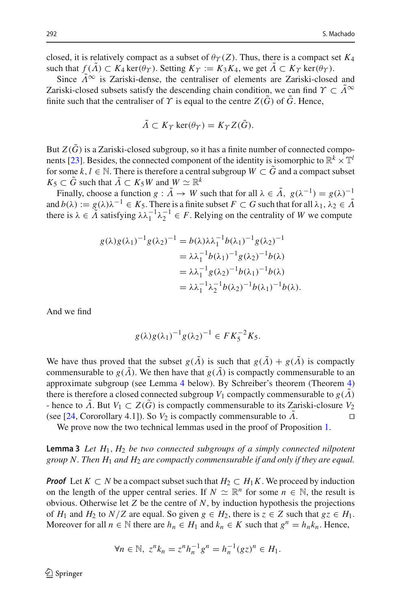closed, it is relatively compact as a subset of  $\theta_{\Upsilon}(Z)$ . Thus, there is a compact set  $K_4$ such that  $f(\tilde{\Lambda}) \subset K_4$  ker( $\theta_{\Upsilon}$ ). Setting  $K_{\Upsilon} := K_3 K_4$ , we get  $\tilde{\Lambda} \subset K_{\Upsilon}$  ker( $\theta_{\Upsilon}$ ).

Since  $\tilde{\Lambda}^{\infty}$  is Zariski-dense, the centraliser of elements are Zariski-closed and Zariski-closed subsets satisfy the descending chain condition, we can find  $\Upsilon \subset \tilde{\Lambda}^{\infty}$ finite such that the centraliser of  $\Upsilon$  is equal to the centre  $Z(\tilde{G})$  of  $\tilde{G}$ . Hence,

$$
\tilde{\Lambda} \subset K_{\Upsilon} \ker(\theta_{\Upsilon}) = K_{\Upsilon} Z(\tilde{G}).
$$

But  $Z(\tilde{G})$  is a Zariski-closed subgroup, so it has a finite number of connected compo-nents [\[23](#page-16-19)]. Besides, the connected component of the identity is isomorphic to  $\mathbb{R}^k \times \mathbb{T}^l$ for some  $k, l \in \mathbb{N}$ . There is therefore a central subgroup  $W \subset G$  and a compact subset  $K_5 \subset \tilde{G}$  such that  $\tilde{\Lambda} \subset K_5W$  and  $W \simeq \mathbb{R}^k$ 

Finally, choose a function  $g : \tilde{A} \to W$  such that for all  $\lambda \in \tilde{A}$ ,  $g(\lambda^{-1}) = g(\lambda)^{-1}$ and  $b(\lambda) := g(\lambda)\lambda^{-1} \in K_5$ . There is a finite subset  $F \subset G$  such that for all  $\lambda_1, \lambda_2 \in \tilde{\Lambda}$ there is  $\lambda \in \tilde{\Lambda}$  satisfying  $\lambda \lambda_1^{-1} \lambda_2^{-1} \in F$ . Relying on the centrality of *W* we compute

$$
g(\lambda)g(\lambda_1)^{-1}g(\lambda_2)^{-1} = b(\lambda)\lambda \lambda_1^{-1}b(\lambda_1)^{-1}g(\lambda_2)^{-1}
$$
  
=  $\lambda \lambda_1^{-1}b(\lambda_1)^{-1}g(\lambda_2)^{-1}b(\lambda)$   
=  $\lambda \lambda_1^{-1}g(\lambda_2)^{-1}b(\lambda_1)^{-1}b(\lambda)$   
=  $\lambda \lambda_1^{-1} \lambda_2^{-1}b(\lambda_2)^{-1}b(\lambda_1)^{-1}b(\lambda)$ .

And we find

$$
g(\lambda)g(\lambda_1)^{-1}g(\lambda_2)^{-1} \in FK_5^{-2}K_5.
$$

We have thus proved that the subset  $g(\tilde{\Lambda})$  is such that  $g(\tilde{\Lambda}) + g(\tilde{\Lambda})$  is compactly commensurable to  $g(\tilde{\Lambda})$ . We then have that  $g(\tilde{\Lambda})$  is compactly commensurable to an approximate subgroup (see Lemma [4](#page-8-1) below). By Schreiber's theorem (Theorem [4\)](#page-3-1) there is therefore a closed connected subgroup  $V_1$  compactly commensurable to  $g(\tilde{\Lambda})$ - hence to  $\tilde{\Lambda}$ . But  $V_1 \subset Z(\tilde{G})$  is compactly commensurable to its Zariski-closure  $V_2$  (see [24. Cororollary 4.11). So  $V_2$  is compactly commensurable to  $\tilde{\Lambda}$ . (see [\[24,](#page-16-20) Cororollary 4.1]). So  $V_2$  is compactly commensurable to  $\Lambda$ .

<span id="page-7-0"></span>We prove now the two technical lemmas used in the proof of Proposition [1.](#page-4-0)

**Lemma 3** *Let H*1, *H*<sup>2</sup> *be two connected subgroups of a simply connected nilpotent group N. Then H*<sup>1</sup> *and H*<sup>2</sup> *are compactly commensurable if and only if they are equal.*

*Proof* Let  $K \subset N$  be a compact subset such that  $H_2 \subset H_1K$ . We proceed by induction on the length of the upper central series. If  $N \simeq \mathbb{R}^n$  for some  $n \in \mathbb{N}$ , the result is obvious. Otherwise let *Z* be the centre of *N*, by induction hypothesis the projections of  $H_1$  and  $H_2$  to  $N/Z$  are equal. So given  $g \in H_2$ , there is  $z \in Z$  such that  $gz \in H_1$ . Moreover for all  $n \in \mathbb{N}$  there are  $h_n \in H_1$  and  $k_n \in K$  such that  $g^n = h_n k_n$ . Hence,

$$
\forall n \in \mathbb{N}, \ z^n k_n = z^n h_n^{-1} g^n = h_n^{-1} (gz)^n \in H_1.
$$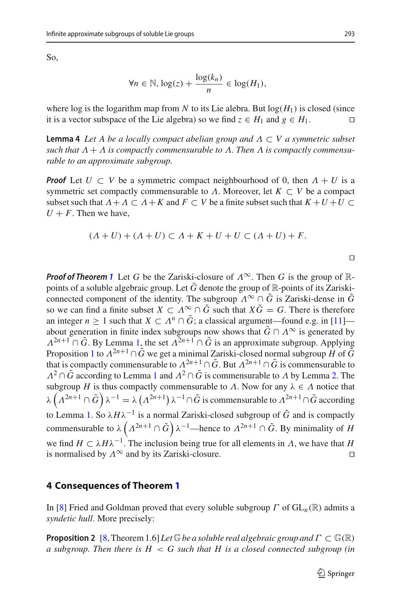So,

$$
\forall n \in \mathbb{N}, \log(z) + \frac{\log(k_n)}{n} \in \log(H_1),
$$

where log is the logarithm map from *N* to its Lie alebra. But  $log(H_1)$  is closed (since it is a vector subspace of the Lie algebra) so we find  $z \in H_1$  and  $g \in H_1$ . □

<span id="page-8-1"></span>**Lemma 4** *Let A be a locally compact abelian group and* Λ ⊂ *V a symmetric subset such that*  $\Lambda + \Lambda$  *is compactly commensurable to*  $\Lambda$ . Then  $\Lambda$  *is compactly commensurable to an approximate subgroup.*

*Proof* Let  $U \subset V$  be a symmetric compact neighbourhood of 0, then  $\Lambda + U$  is a symmetric set compactly commensurable to  $\Lambda$ . Moreover, let  $K \subset V$  be a compact subset such that  $\Lambda + \Lambda \subset \Lambda + K$  and  $F \subset V$  be a finite subset such that  $K + U + U \subset$  $U + F$ . Then we have,

$$
(A+U)+(A+U)\subset A+K+U+U\subset (A+U)+F.
$$

 $\Box$ 

*Proof of Theorem* [1](#page-1-0) Let *G* be the Zariski-closure of  $\Lambda^{\infty}$ . Then *G* is the group of  $\mathbb{R}$ points of a soluble algebraic group. Let  $\tilde{G}$  denote the group of  $\mathbb{R}$ -points of its Zariskiconnected component of the identity. The subgroup  $\Lambda^{\infty} \cap \tilde{G}$  is Zariski-dense in  $\tilde{G}$ so we can find a finite subset  $X \subset \Lambda^\infty \cap \tilde{G}$  such that  $X\tilde{G} = G$ . There is therefore an integer  $n > 1$  such that  $X \subset \Lambda^n \cap \tilde{G}$ ; a classical argument—found e.g. in [\[11\]](#page-16-21) about generation in finite index subgroups now shows that  $\tilde{G} \cap \Lambda^{\infty}$  is generated by  $\Lambda^{2n+1} \cap \tilde{G}$ . By Lemma [1,](#page-3-0) the set  $\Lambda^{2n+1} \cap \tilde{G}$  is an approximate subgroup. Applying Proposition [1](#page-4-0) to  $\Lambda^{2n+1} \cap \tilde{G}$  we get a minimal Zariski-closed normal subgroup *H* of  $\tilde{G}$ that is compactly commensurable to  $\Lambda^{2n+1} \cap \tilde{G}$ . But  $\Lambda^{2n+1} \cap \tilde{G}$  is commensurable to  $\Lambda^2 \cap \tilde{G}$  according to Lemma [1](#page-3-0) and  $\Lambda^2 \cap \tilde{G}$  is commensurable to  $\Lambda$  by Lemma [2.](#page-3-2) The subgroup *H* is thus compactly commensurable to *Λ*. Now for any  $\lambda \in \Lambda$  notice that  $\lambda\left(\Lambda^{2n+1}\cap \tilde{G}\right)\lambda^{-1}=\lambda\left(\Lambda^{2n+1}\right)\lambda^{-1}\cap \tilde{G}$  is commensurable to  $\Lambda^{2n+1}\cap \tilde{G}$  according to Lemma [1.](#page-3-0) So  $\lambda H \lambda^{-1}$  is a normal Zariski-closed subgroup of  $\tilde{G}$  and is compactly commensurable to  $\lambda \left( \Lambda^{2n+1} \cap \tilde{G} \right) \lambda^{-1}$ —hence to  $\Lambda^{2n+1} \cap \tilde{G}$ . By minimality of *H* we find *H*  $\subset \lambda H \lambda^{-1}$ . The inclusion being true for all elements in  $\Lambda$ , we have that *H* is normalised by  $\Lambda^{\infty}$  and by its Zariski-closure. is normalised by  $\Lambda^{\infty}$  and by its Zariski-closure.

#### **4 Consequences of Theorem [1](#page-1-0)**

<span id="page-8-0"></span>In [\[8\]](#page-16-13) Fried and Goldman proved that every soluble subgroup  $\Gamma$  of  $GL_n(\mathbb{R})$  admits a *syndetic hull*. More precisely:

**Proposition 2** [\[8](#page-16-13), Theorem 1.6] *Let*  $\mathbb{G}$ *be a soluble real algebraic group and*  $\Gamma \subset \mathbb{G}(\mathbb{R})$ *a subgroup. Then there is H* < *G such that H is a closed connected subgroup (in*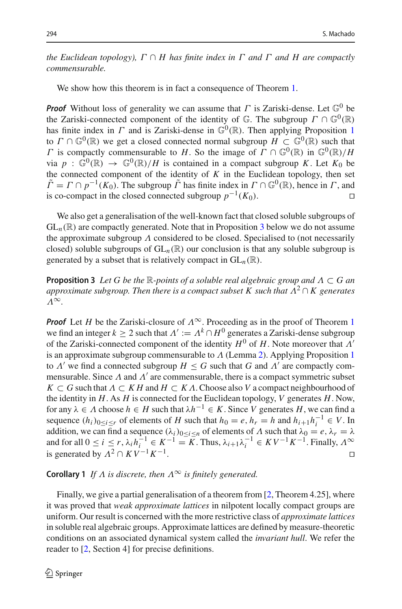*the Euclidean topology),*  $\Gamma \cap H$  *has finite index in*  $\Gamma$  *and*  $\Gamma$  *and*  $H$  *are compactly commensurable.*

We show how this theorem is in fact a consequence of Theorem [1.](#page-1-0)

*Proof* Without loss of generality we can assume that  $\Gamma$  is Zariski-dense. Let  $\mathbb{G}^0$  be the Zariski-connected component of the identity of  $\mathbb{G}$ . The subgroup  $\Gamma \cap \mathbb{G}^0(\mathbb{R})$ has finite index in  $\Gamma$  and is Zariski-dense in  $\mathbb{G}^0(\mathbb{R})$ . Then applying Proposition [1](#page-4-0) to  $\Gamma \cap \mathbb{G}^0(\mathbb{R})$  we get a closed connected normal subgroup  $H \subset \mathbb{G}^0(\mathbb{R})$  such that Γ is compactly commensurable to *H*. So the image of  $\Gamma \cap \mathbb{G}^0(\mathbb{R})$  in  $\mathbb{G}^0(\mathbb{R})/H$ via  $p : \mathbb{G}^0(\mathbb{R}) \to \mathbb{G}^0(\mathbb{R})/H$  is contained in a compact subgroup *K*. Let  $K_0$  be the connected component of the identity of  $K$  in the Euclidean topology, then set  $\tilde{\Gamma} = \Gamma \cap p^{-1}(K_0)$ . The subgroup  $\tilde{\Gamma}$  has finite index in  $\Gamma \cap \mathbb{G}^0(\mathbb{R})$ , hence in  $\Gamma$ , and is co-compact in the closed connected subgroup  $p^{-1}(K_0)$ is co-compact in the closed connected subgroup  $p^{-1}(K_0)$ .

We also get a generalisation of the well-known fact that closed soluble subgroups of  $GL_n(\mathbb{R})$  are compactly generated. Note that in Proposition [3](#page-9-1) below we do not assume the approximate subgroup  $\Lambda$  considered to be closed. Specialised to (not necessarily closed) soluble subgroups of  $GL_n(\mathbb{R})$  our conclusion is that any soluble subgroup is generated by a subset that is relatively compact in  $GL_n(\mathbb{R})$ .

<span id="page-9-1"></span>**Proposition 3** *Let G be the* <sup>R</sup>*-points of a soluble real algebraic group and* <sup>Λ</sup> <sup>⊂</sup> *G an approximate subgroup. Then there is a compact subset K such that*  $\Lambda^2 \cap K$  generates Λ∞*.*

*Proof* Let *H* be the Zariski-closure of  $\Lambda^{\infty}$ . Proceeding as in the proof of Theorem [1](#page-1-0) we find an integer  $k \geq 2$  such that  $\Lambda' := \Lambda^k \cap H^0$  generates a Zariski-dense subgroup of the Zariski-connected component of the identity  $H^0$  of  $H$ . Note moreover that  $\Lambda'$ is an approximate subgroup commensurable to  $\Lambda$  (Lemma [2\)](#page-3-2). Applying Proposition [1](#page-4-0) to  $\Lambda'$  we find a connected subgroup  $H \leq G$  such that  $G$  and  $\Lambda'$  are compactly commensurable. Since  $\Lambda$  and  $\Lambda'$  are commensurable, there is a compact symmetric subset  $K \subset G$  such that  $\Lambda \subset K H$  and  $H \subset K \Lambda$ . Choose also *V* a compact neighbourhood of the identity in *H*. As *H* is connected for the Euclidean topology, *V* generates *H*. Now, for any  $\lambda \in \Lambda$  choose  $h \in H$  such that  $\lambda h^{-1} \in K$ . Since V generates H, we can find a sequence  $(h_i)_{0 \le i \le r}$  of elements of *H* such that  $h_0 = e$ ,  $h_r = h$  and  $h_{i+1}h_i^{-1} \in V$ . In addition, we can find a sequence  $(\lambda_i)_{0 \le i \le n}$  of elements of  $\Lambda$  such that  $\lambda_0 = e$ ,  $\lambda_r = \lambda$ and for all  $0 \le i \le r$ ,  $\lambda_i h_i^{-1} \in K^{-1} = K$ . Thus,  $\lambda_{i+1} \lambda_i^{-1} \in K V^{-1} K^{-1}$ . Finally,  $\Lambda^\infty$ is generated by  $\Lambda^2 \cap KV^{-1}K^{-1}$ .

# <span id="page-9-2"></span>**Corollary 1** *If*  $\Lambda$  *is discrete, then*  $\Lambda^{\infty}$  *is finitely generated.*

<span id="page-9-0"></span>Finally, we give a partial generalisation of a theorem from [\[2,](#page-15-0) Theorem 4.25], where it was proved that *weak approximate lattices* in nilpotent locally compact groups are uniform. Our result is concerned with the more restrictive class of *approximate lattices* in soluble real algebraic groups. Approximate lattices are defined by measure-theoretic conditions on an associated dynamical system called the *invariant hull*. We refer the reader to [\[2,](#page-15-0) Section 4] for precise definitions.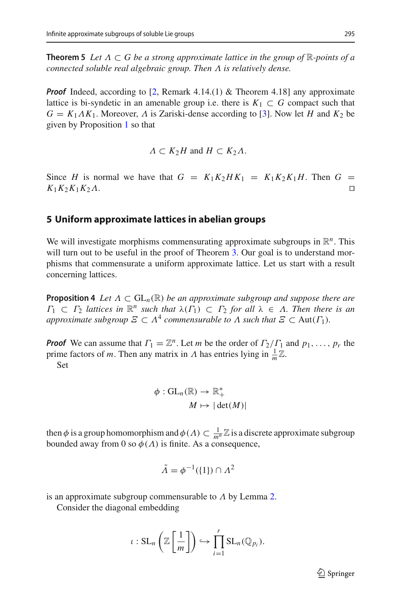**Theorem 5** Let  $\Lambda \subset G$  be a strong approximate lattice in the group of  $\mathbb{R}$ -points of a *connected soluble real algebraic group. Then* Λ *is relatively dense.*

*Proof* Indeed, according to [\[2](#page-15-0), Remark 4.14.(1) & Theorem 4.18] any approximate lattice is bi-syndetic in an amenable group i.e. there is  $K_1 \subset G$  compact such that  $G = K_1 A K_1$ . Moreover,  $\Lambda$  is Zariski-dense according to [\[3\]](#page-16-22). Now let *H* and  $K_2$  be given by Proposition [1](#page-4-0) so that

$$
\Lambda \subset K_2H \text{ and } H \subset K_2\Lambda.
$$

Since *H* is normal we have that  $G = K_1K_2HK_1 = K_1K_2K_1H$ . Then  $G = K_1K_2K_1K_2\Lambda$ .  $K_1K_2K_1K_2\Lambda$ .

#### **5 Uniform approximate lattices in abelian groups**

We will investigate morphisms commensurating approximate subgroups in  $\mathbb{R}^n$ . This will turn out to be useful in the proof of Theorem [3.](#page-2-0) Our goal is to understand morphisms that commensurate a uniform approximate lattice. Let us start with a result concerning lattices.

<span id="page-10-0"></span>**Proposition 4** *Let*  $\Lambda \subset GL_n(\mathbb{R})$  *be an approximate subgroup and suppose there are*  $\Gamma_1 \subset \Gamma_2$  *lattices in*  $\mathbb{R}^n$  *such that*  $\lambda(\Gamma_1) \subset \Gamma_2$  *for all*  $\lambda \in \Lambda$ *. Then there is an approximate subgroup*  $\mathcal{E} \subset \Lambda^4$  *commensurable to*  $\Lambda$  *such that*  $\mathcal{E} \subset \text{Aut}(\Gamma_1)$ *.* 

*Proof* We can assume that  $\Gamma_1 = \mathbb{Z}^n$ . Let *m* be the order of  $\Gamma_2/\Gamma_1$  and  $p_1, \ldots, p_r$  the prime factors of *m*. Then any matrix in  $\Lambda$  has entries lying in  $\frac{1}{m}\mathbb{Z}$ . Set

$$
\phi: GL_n(\mathbb{R}) \to \mathbb{R}_+^*
$$

$$
M \mapsto |\det(M)|
$$

then  $\phi$  is a group homomorphism and  $\phi(A) \subset \frac{1}{m^n} \mathbb{Z}$  is a discrete approximate subgroup bounded away from 0 so  $\phi(\Lambda)$  is finite. As a consequence,

$$
\tilde{\Lambda} = \phi^{-1}(\{1\}) \cap \Lambda^2
$$

is an approximate subgroup commensurable to  $\Lambda$  by Lemma [2.](#page-3-2)

Consider the diagonal embedding

$$
\iota: \mathrm{SL}_n\left(\mathbb{Z}\left[\frac{1}{m}\right]\right) \hookrightarrow \prod_{i=1}^r \mathrm{SL}_n(\mathbb{Q}_{p_i}).
$$

 $\mathcal{D}$  Springer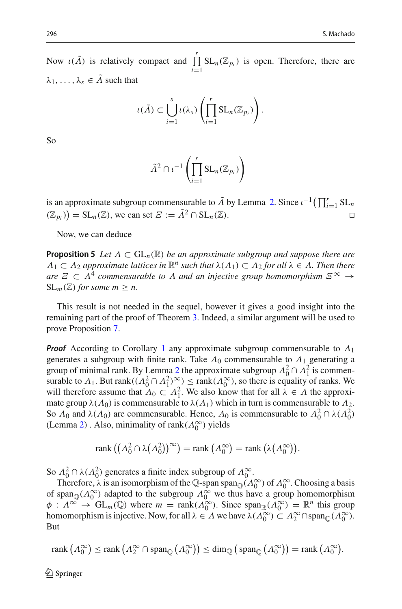Now  $\iota(\tilde{\Lambda})$  is relatively compact and  $\prod_{r=1}^{r}$ *i*=1  $SL_n(\mathbb{Z}_{p_i})$  is open. Therefore, there are  $\lambda_1, \ldots, \lambda_s \in \tilde{\Lambda}$  such that

$$
\iota(\tilde{\Lambda}) \subset \bigcup_{i=1}^s \iota(\lambda_s) \left( \prod_{i=1}^r \mathrm{SL}_n(\mathbb{Z}_{p_i}) \right).
$$

So

$$
\tilde{\Lambda}^2 \cap \iota^{-1}\left(\prod_{i=1}^r \mathrm{SL}_n(\mathbb{Z}_{p_i})\right)
$$

is an approximate subgroup commensurable to  $\tilde{\Lambda}$  by Lemma [2.](#page-3-2) Since  $\iota^{-1}(\prod_{i=1}^r SL_n)$  $(\mathbb{Z}_{p_i})$  = SL<sub>n</sub>( $\mathbb{Z}$ ), we can set  $\mathcal{Z} := \tilde{\Lambda}^2 \cap$  SL<sub>n</sub>( $\mathbb{Z}$ ).

<span id="page-11-0"></span>Now, we can deduce

**Proposition 5** *Let*  $\Lambda \subset GL_n(\mathbb{R})$  *be an approximate subgroup and suppose there are*  $\Lambda_1 \subset \Lambda_2$  *approximate lattices in*  $\mathbb{R}^n$  *such that*  $\lambda(\Lambda_1) \subset \Lambda_2$  *for all*  $\lambda \in \Lambda$ *. Then there are*  $\Xi \subset \Lambda^4$  *commensurable to*  $\Lambda$  *and an injective group homomorphism*  $E^{\infty} \to$  $SL_m(\mathbb{Z})$  *for some m*  $\geq n$ .

This result is not needed in the sequel, however it gives a good insight into the remaining part of the proof of Theorem [3.](#page-2-0) Indeed, a similar argument will be used to prove Proposition [7.](#page-13-0)

*Proof* According to Corollary [1](#page-9-2) any approximate subgroup commensurable to  $Λ_1$ generates a subgroup with finite rank. Take  $\Lambda_0$  commensurable to  $\Lambda_1$  generating a group of minimal rank. By Lemma [2](#page-3-2) the approximate subgroup  $\Lambda_0^2 \cap \Lambda_1^2$  is commensurable to  $\Lambda_1$ . But rank $((\Lambda_0^2 \cap \Lambda_1^2)_{\atop 0}^{\infty}) \leq \text{rank}(\Lambda_0^{\infty})$ , so there is equality of ranks. We will therefore assume that  $\Lambda_0 \subset \Lambda_1^2$ . We also know that for all  $\lambda \in \Lambda$  the approximate group  $\lambda(\Lambda_0)$  is commensurable to  $\lambda(\Lambda_1)$  which in turn is commensurable to  $\Lambda_2$ . So  $\Lambda_0$  and  $\lambda(\Lambda_0)$  are commensurable. Hence,  $\Lambda_0$  is commensurable to  $\Lambda_0^2 \cap \lambda(\Lambda_0^2)$ (Lemma [2\)](#page-3-2). Also, minimality of rank $(\Lambda_0^{\infty})$  yields

$$
rank ((\Lambda_0^2 \cap \lambda(\Lambda_0^2))^{\infty}) = rank (\Lambda_0^{\infty}) = rank (\lambda(\Lambda_0^{\infty})).
$$

So  $\Lambda_0^2 \cap \lambda(\Lambda_0^2)$  generates a finite index subgroup of  $\Lambda_0^{\infty}$ .

Therefore,  $\lambda$  is an isomorphism of the Q-span span<sub>Q</sub>( $\Lambda_0^{\infty}$ ) of  $\Lambda_0^{\infty}$ . Choosing a basis of span<sub>Q</sub>( $\Lambda_0^{\infty}$ ) adapted to the subgroup  $\Lambda_0^{\infty}$  we thus have a group homomorphism  $\phi: \Lambda^{\infty} \to GL_m(\mathbb{Q})$  where  $m = \text{rank}(\Lambda_0^{\infty})$ . Since  $\text{span}_{\mathbb{R}}(\Lambda_0^{\infty}) = \mathbb{R}^n$  this group homomorphism is injective. Now, for all  $\lambda \in \Lambda$  we have  $\lambda(\Lambda_0^{\infty}) \subset \Lambda_2^{\infty} \cap \text{span}_{\mathbb{Q}}(\Lambda_0^{\infty})$ . But

$$
\text{rank}\left(\Lambda_0^{\infty}\right) \leq \text{rank}\left(\Lambda_2^{\infty} \cap \text{span}_{\mathbb{Q}}\left(\Lambda_0^{\infty}\right)\right) \leq \dim_{\mathbb{Q}}\left(\text{span}_{\mathbb{Q}}\left(\Lambda_0^{\infty}\right)\right) = \text{rank}\left(\Lambda_0^{\infty}\right).
$$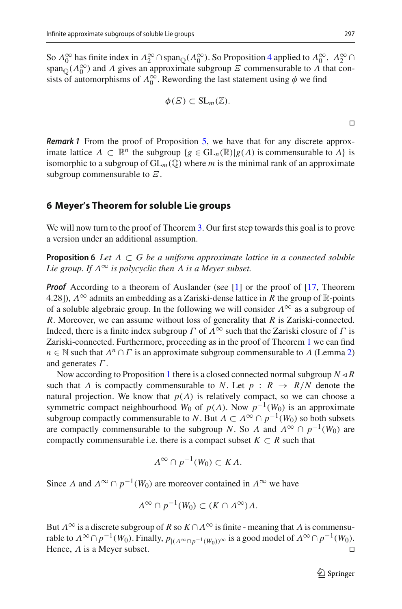So  $\Lambda_0^{\infty}$  has finite index in  $\Lambda_2^{\infty} \cap \text{span}_{\mathbb{Q}}(\Lambda_0^{\infty})$ . So Proposition [4](#page-10-0) applied to  $\Lambda_0^{\infty}$ ,  $\Lambda_2^{\infty} \cap$ span<sub>Q</sub>( $\Lambda_0^{\infty}$ ) and  $\Lambda$  gives an approximate subgroup  $\Xi$  commensurable to  $\Lambda$  that consists of automorphisms of  $\Lambda_0^{\infty}$ . Rewording the last statement using  $\phi$  we find

$$
\phi(E) \subset \operatorname{SL}_m(\mathbb{Z}).
$$

*Remark 1* From the proof of Proposition [5,](#page-11-0) we have that for any discrete approximate lattice  $\Lambda \subset \mathbb{R}^n$  the subgroup  $\{g \in GL_n(\mathbb{R}) | g(\Lambda)$  is commensurable to  $\Lambda\}$  is isomorphic to a subgroup of  $GL_m(\mathbb{Q})$  where *m* is the minimal rank of an approximate subgroup commensurable to  $E$ .

## **6 Meyer's Theorem for soluble Lie groups**

<span id="page-12-0"></span>We will now turn to the proof of Theorem [3.](#page-2-0) Our first step towards this goal is to prove a version under an additional assumption.

**Proposition 6** *Let*  $\Lambda \subset G$  *be a uniform approximate lattice in a connected soluble Lie group. If*  $\Lambda^{\infty}$  *is polycyclic then*  $\Lambda$  *is a Meyer subset.* 

*Proof* According to a theorem of Auslander (see [\[1\]](#page-15-1) or the proof of [\[17](#page-16-18), Theorem 4.28]),  $\Lambda^{\infty}$  admits an embedding as a Zariski-dense lattice in *R* the group of  $\mathbb{R}$ -points of a soluble algebraic group. In the following we will consider  $\Lambda^{\infty}$  as a subgroup of *R*. Moreover, we can assume without loss of generality that *R* is Zariski-connected. Indeed, there is a finite index subgroup  $\Gamma$  of  $\Lambda^{\infty}$  such that the Zariski closure of  $\Gamma$  is Zariski-connected. Furthermore, proceeding as in the proof of Theorem [1](#page-1-0) we can find *n* ∈ N such that  $\Lambda^n \cap \Gamma$  is an approximate subgroup commensurable to  $\Lambda$  (Lemma [2\)](#page-3-2) and generates  $\Gamma$ .

Now according to Proposition [1](#page-4-0) there is a closed connected normal subgroup  $N \triangleleft R$ such that  $\Lambda$  is compactly commensurable to  $N$ . Let  $p : R \to R/N$  denote the natural projection. We know that  $p(\Lambda)$  is relatively compact, so we can choose a symmetric compact neighbourhood *W*<sub>0</sub> of *p*( $\Lambda$ ). Now  $p^{-1}(W_0)$  is an approximate subgroup compactly commensurable to *N*. But  $\Lambda \subset \Lambda^{\infty} \cap p^{-1}(W_0)$  so both subsets are compactly commensurable to the subgroup *N*. So  $\Lambda$  and  $\Lambda^{\infty} \cap p^{-1}(W_0)$  are compactly commensurable i.e. there is a compact subset  $K \subset R$  such that

$$
\Lambda^{\infty} \cap p^{-1}(W_0) \subset K\Lambda.
$$

Since  $\Lambda$  and  $\Lambda^{\infty} \cap p^{-1}(W_0)$  are moreover contained in  $\Lambda^{\infty}$  we have

$$
\Lambda^{\infty} \cap p^{-1}(W_0) \subset (K \cap \Lambda^{\infty})\Lambda.
$$

But  $\Lambda^{\infty}$  is a discrete subgroup of *R* so  $K \cap \Lambda^{\infty}$  is finite - meaning that  $\Lambda$  is commensurable to  $\Lambda^{\infty} \cap p^{-1}(W_0)$ . Finally,  $p_{|(A^{\infty} \cap p^{-1}(W_0))^{\infty}}$  is a good model of  $\Lambda^{\infty} \cap p^{-1}(W_0)$ .<br>Hence,  $\Lambda$  is a Mever subset. Hence,  $\Lambda$  is a Meyer subset.

 $\Box$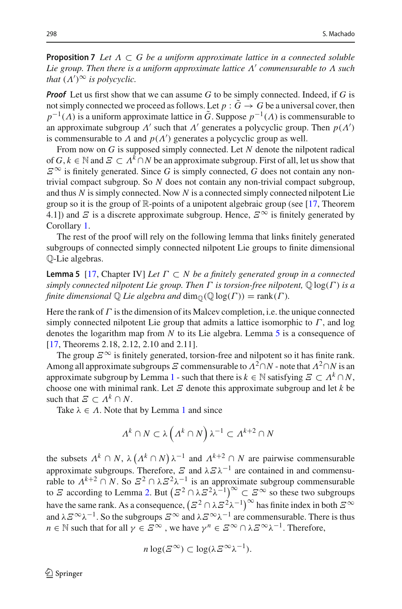<span id="page-13-0"></span>**Proposition 7** Let  $\Lambda \subset G$  be a uniform approximate lattice in a connected soluble *Lie group. Then there is a uniform approximate lattice* Λ *commensurable to* Λ *such that*  $(\Lambda')^{\infty}$  *is polycyclic.* 

*Proof* Let us first show that we can assume *G* to be simply connected. Indeed, if *G* is not simply connected we proceed as follows. Let  $p : \tilde{G} \to G$  be a universal cover, then  $p^{-1}(A)$  is a uniform approximate lattice in  $\tilde{G}$ . Suppose  $p^{-1}(A)$  is commensurable to an approximate subgroup  $\Lambda'$  such that  $\Lambda'$  generates a polycyclic group. Then  $p(\Lambda')$ is commensurable to  $\Lambda$  and  $p(\Lambda')$  generates a polycyclic group as well.

From now on *G* is supposed simply connected. Let *N* denote the nilpotent radical of  $G, k \in \mathbb{N}$  and  $\mathcal{E} \subset \Lambda^k \cap N$  be an approximate subgroup. First of all, let us show that  $E^{\infty}$  is finitely generated. Since *G* is simply connected, *G* does not contain any nontrivial compact subgroup. So *N* does not contain any non-trivial compact subgroup, and thus *N* is simply connected. Now *N* is a connected simply connected nilpotent Lie group so it is the group of  $\mathbb R$ -points of a unipotent algebraic group (see [\[17](#page-16-18), Theorem 4.1]) and  $\overline{E}$  is a discrete approximate subgroup. Hence,  $\overline{E}^{\infty}$  is finitely generated by Corollary [1.](#page-9-2)

The rest of the proof will rely on the following lemma that links finitely generated subgroups of connected simply connected nilpotent Lie groups to finite dimensional Q-Lie algebras.

<span id="page-13-1"></span>**Lemma 5** [\[17,](#page-16-18) Chapter IV] *Let* Γ ⊂ *N be a finitely generated group in a connected simply connected nilpotent Lie group. Then* Γ *is torsion-free nilpotent,* Q log(Γ ) *is a finite dimensional*  $\mathbb Q$  *Lie algebra and*  $\dim_{\mathbb Q}(\mathbb Q \log(\Gamma)) = \text{rank}(\Gamma)$ *.* 

Here the rank of  $\Gamma$  is the dimension of its Malcev completion, i.e. the unique connected simply connected nilpotent Lie group that admits a lattice isomorphic to  $\Gamma$ , and log denotes the logarithm map from *N* to its Lie algebra. Lemma [5](#page-13-1) is a consequence of [\[17](#page-16-18), Theorems 2.18, 2.12, 2.10 and 2.11].

The group  $\mathcal{E}^{\infty}$  is finitely generated, torsion-free and nilpotent so it has finite rank. Among all approximate subgroups  $E$  commensurable to  $\Lambda^2 \cap N$  - note that  $\Lambda^2 \cap N$  is an approximate subgroup by Lemma [1](#page-3-0) - such that there is  $k \in \mathbb{N}$  satisfying  $\mathcal{E} \subset \Lambda^k \cap N$ , choose one with minimal rank. Let  $E$  denote this approximate subgroup and let  $k$  be such that  $\mathcal{E} \subset \Lambda^k \cap N$ .

Take  $\lambda \in \Lambda$ . Note that by Lemma [1](#page-3-0) and since

$$
\Lambda^k \cap N \subset \lambda \left( \Lambda^k \cap N \right) \lambda^{-1} \subset \Lambda^{k+2} \cap N
$$

the subsets  $\Lambda^k \cap N$ ,  $\lambda (\Lambda^k \cap N) \lambda^{-1}$  and  $\Lambda^{k+2} \cap N$  are pairwise commensurable approximate subgroups. Therefore,  $\overline{E}$  and  $\lambda \overline{E} \lambda^{-1}$  are contained in and commensurable to  $\Lambda^{k+2} \cap N$ . So  $\mathbb{Z}^2 \cap \lambda \mathbb{Z}^2 \lambda^{-1}$  is an approximate subgroup commensurable to  $\mathcal E$  according to Lemma [2.](#page-3-2) But  $(\mathcal Z^2 \cap \lambda \mathcal Z^2 \lambda^{-1})^\infty \subset \mathcal Z^\infty$  so these two subgroups have the same rank. As a consequence,  $(\Xi^2 \cap \lambda \Xi^2 \lambda^{-1})^{\infty}$  has finite index in both  $\Xi^{\infty}$ and  $\lambda \in \infty$ λ<sup>-1</sup>. So the subgroups  $\infty \infty$  and  $\lambda \in \infty$ λ<sup>-1</sup> are commensurable. There is thus *n* ∈ N such that for all  $\gamma \in \mathbb{Z}^{\infty}$ , we have  $\gamma^{n} \in \mathbb{Z}^{\infty} \cap \lambda \mathbb{Z}^{\infty} \lambda^{-1}$ . Therefore,

$$
n\log(\mathcal{Z}^{\infty})\subset \log(\lambda \mathcal{Z}^{\infty}\lambda^{-1}).
$$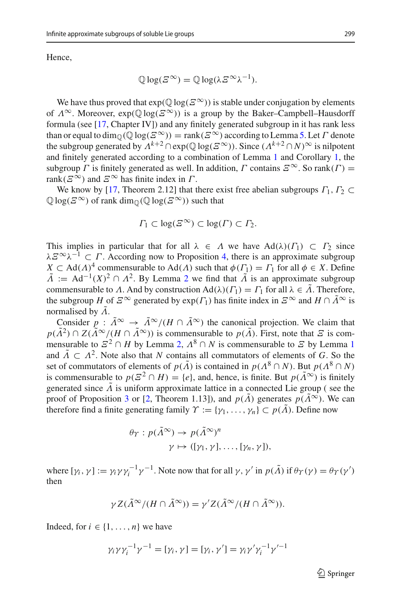Hence,

$$
\mathbb{Q}\log(\mathcal{Z}^{\infty}) = \mathbb{Q}\log(\lambda \mathcal{Z}^{\infty}\lambda^{-1}).
$$

We have thus proved that  $exp(\mathbb{Q} \log(E^{\infty}))$  is stable under conjugation by elements of  $\Lambda^{\infty}$ . Moreover,  $exp(\mathbb{Q} \log(E^{\infty}))$  is a group by the Baker–Campbell–Hausdorff formula (see [\[17](#page-16-18), Chapter IV]) and any finitely generated subgroup in it has rank less than or equal to dim<sub>Q</sub>( $\mathbb{Q}$  log( $E^{\infty}$ )) = rank( $E^{\infty}$ ) according to Lemma [5.](#page-13-1) Let  $\Gamma$  denote the subgroup generated by  $\Lambda^{k+2} \cap \exp(\mathbb{Q} \log(E^{\infty}))$ . Since  $(\Lambda^{k+2} \cap N)^{\infty}$  is nilpotent and finitely generated according to a combination of Lemma [1](#page-3-0) and Corollary [1,](#page-9-2) the subgroup  $\Gamma$  is finitely generated as well. In addition,  $\Gamma$  contains  $\mathcal{E}^{\infty}$ . So rank( $\Gamma$ ) = rank( $\mathcal{E}^{\infty}$ ) and  $\mathcal{E}^{\infty}$  has finite index in  $\Gamma$ .

We know by [\[17](#page-16-18), Theorem 2.12] that there exist free abelian subgroups  $\Gamma_1$ ,  $\Gamma_2 \subset$  $\mathbb{Q}$ log( $\mathcal{Z}^{\infty}$ ) of rank dim<sub> $\mathbb{Q}$ </sub> $(\mathbb{Q}$ log( $\mathcal{Z}^{\infty}$ )) such that

$$
\Gamma_1 \subset \log(\mathcal{Z}^{\infty}) \subset \log(\Gamma) \subset \Gamma_2.
$$

This implies in particular that for all  $\lambda \in \Lambda$  we have  $\text{Ad}(\lambda)(\Gamma_1) \subset \Gamma_2$  since  $\lambda \Sigma^{\infty} \lambda^{-1} \subset \Gamma$ . According now to Proposition [4,](#page-10-0) there is an approximate subgroup  $X \subset \text{Ad}(\Lambda)^4$  commensurable to  $\text{Ad}(\Lambda)$  such that  $\phi(\Gamma) = \Gamma_1$  for all  $\phi \in X$ . Define  $\tilde{\Lambda}$  := Ad<sup>-1</sup>(*X*)<sup>[2](#page-3-2)</sup>  $\cap$   $\Lambda$ <sup>2</sup>. By Lemma 2 we find that  $\tilde{\Lambda}$  is an approximate subgroup commensurable to A. And by construction  $Ad(\lambda)(\Gamma_1) = \Gamma_1$  for all  $\lambda \in \tilde{\Lambda}$ . Therefore, the subgroup *H* of  $\mathcal{Z}^{\infty}$  generated by  $\exp(\Gamma_1)$  has finite index in  $\mathcal{Z}^{\infty}$  and  $H \cap \tilde{\Lambda}^{\infty}$  is normalised by  $\tilde{\Lambda}$ .

Consider  $p : \tilde{\Lambda}^{\infty} \to \tilde{\Lambda}^{\infty}/(H \cap \tilde{\Lambda}^{\infty})$  the canonical projection. We claim that  $p(\tilde{\Lambda}^2) \cap Z(\tilde{\Lambda}^{\infty}/(H \cap \tilde{\Lambda}^{\infty}))$  is commensurable to  $p(\tilde{\Lambda})$ . First, note that  $\tilde{\Xi}$  is commensurable to  $\mathbb{Z}^2 \cap H$  by Lemma [2,](#page-3-2)  $\Lambda^8 \cap N$  is commensurable to  $\mathbb Z$  by Lemma [1](#page-3-0) and  $\tilde{\Lambda} \subset \Lambda^2$ . Note also that *N* contains all commutators of elements of *G*. So the set of commutators of elements of  $p(\tilde{\Lambda})$  is contained in  $p(\Lambda^8 \cap N)$ . But  $p(\Lambda^8 \cap N)$ is commensurable to  $p(\mathcal{Z}^2 \cap H) = \{e\}$ , and, hence, is finite. But  $p(\tilde{\Lambda}^{\infty})$  is finitely generated since  $\tilde{\Lambda}$  is uniform approximate lattice in a connected Lie group (see the proof of Proposition [3](#page-9-1) or [\[2](#page-15-0), Theorem 1.13]), and  $p(A)$  generates  $p(A^{\infty})$ . We can therefore find a finite generating family  $\Upsilon := \{\gamma_1, \ldots, \gamma_n\} \subset p(\tilde{\Lambda})$ . Define now

$$
\theta_{\Upsilon}: p(\tilde{\Lambda}^{\infty}) \to p(\tilde{\Lambda}^{\infty})^n
$$
  

$$
\gamma \mapsto ([\gamma_1, \gamma], \dots, [\gamma_n, \gamma]),
$$

where  $[\gamma_i, \gamma] := \gamma_i \gamma \gamma_i^{-1} \gamma^{-1}$ . Note now that for all  $\gamma$ ,  $\gamma'$  in  $p(\tilde{\Lambda})$  if  $\theta_{\Upsilon}(\gamma) = \theta_{\Upsilon}(\gamma')$ then

$$
\gamma Z(\tilde{\Lambda}^{\infty}/(H \cap \tilde{\Lambda}^{\infty})) = \gamma' Z(\tilde{\Lambda}^{\infty}/(H \cap \tilde{\Lambda}^{\infty})).
$$

Indeed, for  $i \in \{1, \ldots, n\}$  we have

$$
\gamma_i \gamma \gamma_i^{-1} \gamma^{-1} = [\gamma_i, \gamma] = [\gamma_i, \gamma'] = \gamma_i \gamma' \gamma_i^{-1} \gamma'^{-1}
$$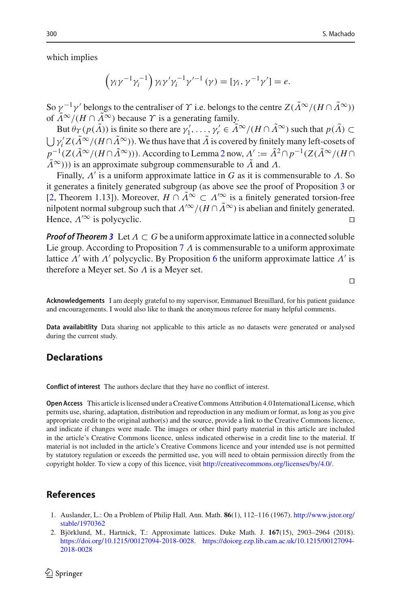which implies

$$
(\gamma_i \gamma^{-1} \gamma_i^{-1}) \gamma_i \gamma' \gamma_i^{-1} \gamma'^{-1} (\gamma) = [\gamma_i, \gamma^{-1} \gamma'] = e.
$$

So  $\gamma^{-1}\gamma'$  belongs to the centraliser of  $\gamma$  i.e. belongs to the centre  $Z(\tilde{\Lambda}^{\infty}/(H \cap \tilde{\Lambda}^{\infty}))$ of  $\tilde{\Lambda}^{\infty}/(H \cap \tilde{\Lambda}^{\infty})$  because  $\gamma$  is a generating family.

But  $\theta_{\Upsilon}(p(\Lambda))$  is finite so there are  $\gamma'_1, \ldots, \gamma'_r \in \Lambda^\infty/(H \cap \Lambda^\infty)$  such that  $p(\Lambda) \subset$  $\bigcup \gamma_i^{\prime} Z(\Lambda^{\infty}/(H \cap \Lambda^{\infty}))$ . We thus have that  $\Lambda$  is covered by finitely many left-cosets of  $p^{-1}(Z(\tilde{\Lambda}^{\infty}/(H \cap \tilde{\Lambda}^{\infty})))$ . According to Lemma [2](#page-3-2) now,  $\Lambda' := \tilde{\Lambda}^2 \cap p^{-1}(Z(\tilde{\Lambda}^{\infty}/(H \cap \tilde{\Lambda}^{\infty})))$  $\tilde{\Lambda}^{\infty}$ ))) is an approximate subgroup commensurable to  $\tilde{\Lambda}$  and  $\Lambda$ .

Finally,  $\Lambda'$  is a uniform approximate lattice in G as it is commensurable to  $\Lambda$ . So it generates a finitely generated subgroup (as above see the proof of Proposition [3](#page-9-1) or [\[2](#page-15-0), Theorem 1.13]). Moreover,  $H \cap \Lambda^{\infty} \subset \Lambda^{\infty}$  is a finitely generated torsion-free nilpotent normal subgroup such that  $\Lambda^{/\infty}/(H \cap \Lambda^{\infty})$  is abelian and finitely generated. Hence,  $\Lambda^{/\infty}$  is polycyclic.

*Proof of Theorem* [3](#page-2-0) Let  $\Lambda \subset G$  be a uniform approximate lattice in a connected soluble Lie group. According to Proposition [7](#page-13-0)  $\Lambda$  is commensurable to a uniform approximate lattice  $\Lambda'$  with  $\Lambda'$  polycyclic. By Proposition [6](#page-12-0) the uniform approximate lattice  $\Lambda'$  is therefore a Meyer set. So  $\Lambda$  is a Meyer set.

 $\Box$ 

**Acknowledgements** I am deeply grateful to my supervisor, Emmanuel Breuillard, for his patient guidance and encouragements. I would also like to thank the anonymous referee for many helpful comments.

**Data availabitlity** Data sharing not applicable to this article as no datasets were generated or analysed during the current study.

## **Declarations**

**Conflict of interest** The authors declare that they have no conflict of interest.

**Open Access** This article is licensed under a Creative Commons Attribution 4.0 International License, which permits use, sharing, adaptation, distribution and reproduction in any medium or format, as long as you give appropriate credit to the original author(s) and the source, provide a link to the Creative Commons licence, and indicate if changes were made. The images or other third party material in this article are included in the article's Creative Commons licence, unless indicated otherwise in a credit line to the material. If material is not included in the article's Creative Commons licence and your intended use is not permitted by statutory regulation or exceeds the permitted use, you will need to obtain permission directly from the copyright holder. To view a copy of this licence, visit [http://creativecommons.org/licenses/by/4.0/.](http://creativecommons.org/licenses/by/4.0/)

## **References**

- <span id="page-15-1"></span>1. Auslander, L.: On a Problem of Philip Hall. Ann. Math. **86**(1), 112–116 (1967). [http://www.jstor.org/](http://www.jstor.org/stable/1970362) [stable/1970362](http://www.jstor.org/stable/1970362)
- <span id="page-15-0"></span>2. Björklund, M., Hartnick, T.: Approximate lattices. Duke Math. J. **167**(15), 2903–2964 (2018). [https://doi.org/10.1215/00127094-2018-0028.](https://doi.org/10.1215/00127094-2018-0028) [https://doiorg.ezp.lib.cam.ac.uk/10.1215/00127094-](https://doiorg.ezp.lib.cam.ac.uk/10.1215/00127094-2018-0028) [2018-0028](https://doiorg.ezp.lib.cam.ac.uk/10.1215/00127094-2018-0028)